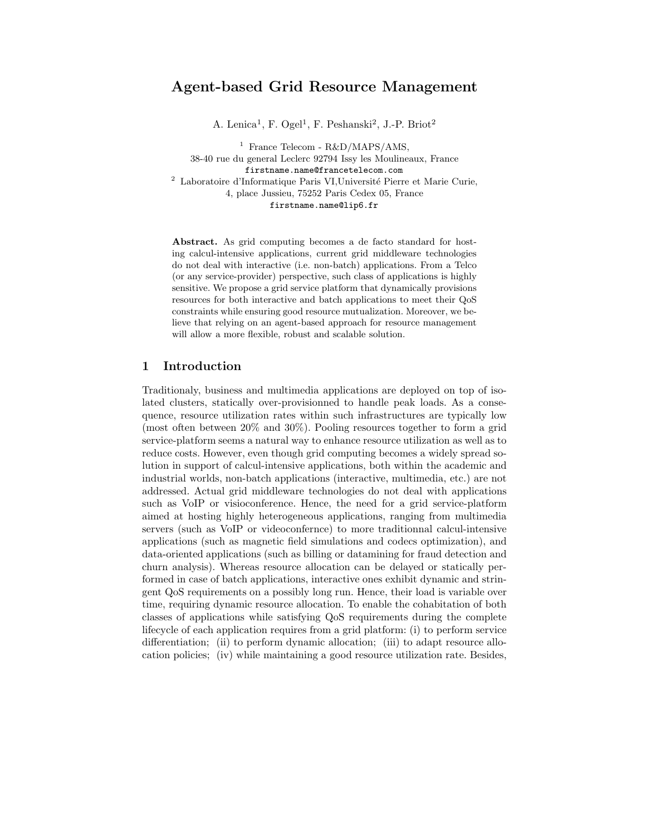# Agent-based Grid Resource Management

A. Lenica<sup>1</sup>, F. Ogel<sup>1</sup>, F. Peshanski<sup>2</sup>, J.-P. Briot<sup>2</sup>

<sup>1</sup> France Telecom -  $R&D/MAPS/AMS$ , 38-40 rue du general Leclerc 92794 Issy les Moulineaux, France firstname.name@francetelecom.com  $^2\,$  Laboratoire d'Informatique Paris VI,Université Pierre et Marie Curie, 4, place Jussieu, 75252 Paris Cedex 05, France firstname.name@lip6.fr

Abstract. As grid computing becomes a de facto standard for hosting calcul-intensive applications, current grid middleware technologies do not deal with interactive (i.e. non-batch) applications. From a Telco (or any service-provider) perspective, such class of applications is highly sensitive. We propose a grid service platform that dynamically provisions resources for both interactive and batch applications to meet their QoS constraints while ensuring good resource mutualization. Moreover, we believe that relying on an agent-based approach for resource management will allow a more flexible, robust and scalable solution.

## 1 Introduction

Traditionaly, business and multimedia applications are deployed on top of isolated clusters, statically over-provisionned to handle peak loads. As a consequence, resource utilization rates within such infrastructures are typically low (most often between 20% and 30%). Pooling resources together to form a grid service-platform seems a natural way to enhance resource utilization as well as to reduce costs. However, even though grid computing becomes a widely spread solution in support of calcul-intensive applications, both within the academic and industrial worlds, non-batch applications (interactive, multimedia, etc.) are not addressed. Actual grid middleware technologies do not deal with applications such as VoIP or visioconference. Hence, the need for a grid service-platform aimed at hosting highly heterogeneous applications, ranging from multimedia servers (such as VoIP or videoconfernce) to more traditionnal calcul-intensive applications (such as magnetic field simulations and codecs optimization), and data-oriented applications (such as billing or datamining for fraud detection and churn analysis). Whereas resource allocation can be delayed or statically performed in case of batch applications, interactive ones exhibit dynamic and stringent QoS requirements on a possibly long run. Hence, their load is variable over time, requiring dynamic resource allocation. To enable the cohabitation of both classes of applications while satisfying QoS requirements during the complete lifecycle of each application requires from a grid platform: (i) to perform service differentiation; (ii) to perform dynamic allocation; (iii) to adapt resource allocation policies; (iv) while maintaining a good resource utilization rate. Besides,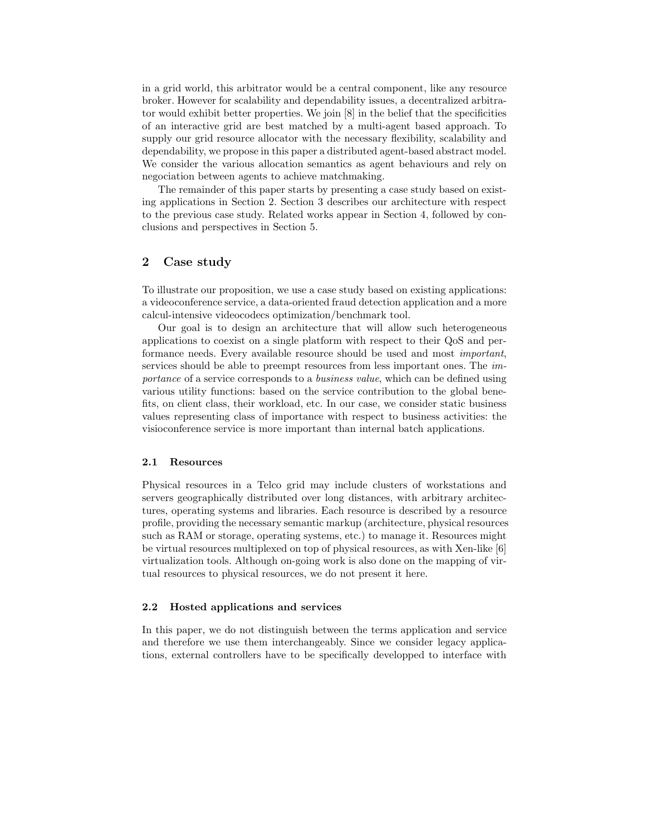in a grid world, this arbitrator would be a central component, like any resource broker. However for scalability and dependability issues, a decentralized arbitrator would exhibit better properties. We join [8] in the belief that the specificities of an interactive grid are best matched by a multi-agent based approach. To supply our grid resource allocator with the necessary flexibility, scalability and dependability, we propose in this paper a distributed agent-based abstract model. We consider the various allocation semantics as agent behaviours and rely on negociation between agents to achieve matchmaking.

The remainder of this paper starts by presenting a case study based on existing applications in Section 2. Section 3 describes our architecture with respect to the previous case study. Related works appear in Section 4, followed by conclusions and perspectives in Section 5.

# 2 Case study

To illustrate our proposition, we use a case study based on existing applications: a videoconference service, a data-oriented fraud detection application and a more calcul-intensive videocodecs optimization/benchmark tool.

Our goal is to design an architecture that will allow such heterogeneous applications to coexist on a single platform with respect to their QoS and performance needs. Every available resource should be used and most important, services should be able to preempt resources from less important ones. The *im*portance of a service corresponds to a business value, which can be defined using various utility functions: based on the service contribution to the global benefits, on client class, their workload, etc. In our case, we consider static business values representing class of importance with respect to business activities: the visioconference service is more important than internal batch applications.

#### 2.1 Resources

Physical resources in a Telco grid may include clusters of workstations and servers geographically distributed over long distances, with arbitrary architectures, operating systems and libraries. Each resource is described by a resource profile, providing the necessary semantic markup (architecture, physical resources such as RAM or storage, operating systems, etc.) to manage it. Resources might be virtual resources multiplexed on top of physical resources, as with Xen-like [6] virtualization tools. Although on-going work is also done on the mapping of virtual resources to physical resources, we do not present it here.

#### 2.2 Hosted applications and services

In this paper, we do not distinguish between the terms application and service and therefore we use them interchangeably. Since we consider legacy applications, external controllers have to be specifically developped to interface with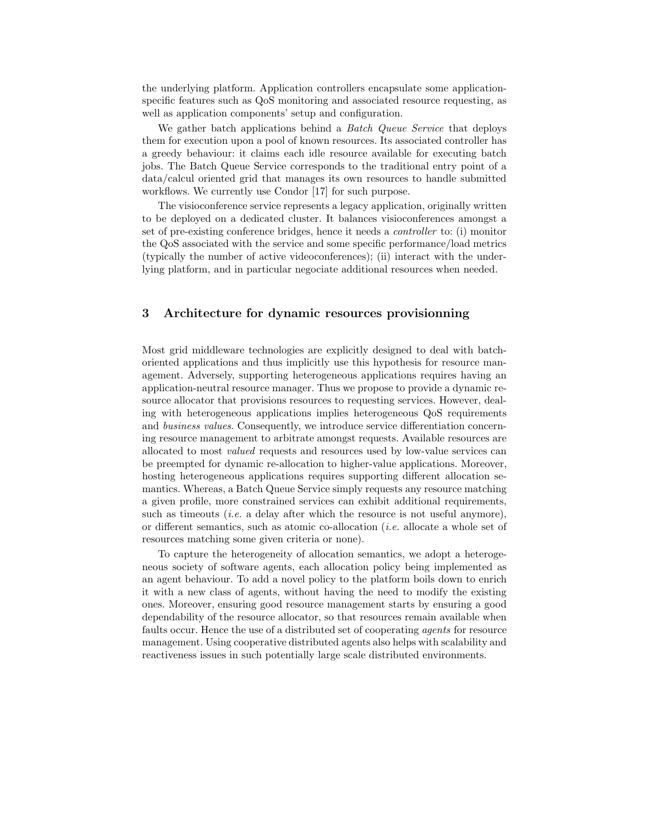the underlying platform. Application controllers encapsulate some applicationspecific features such as QoS monitoring and associated resource requesting, as well as application components' setup and configuration.

We gather batch applications behind a *Batch Queue Service* that deploys them for execution upon a pool of known resources. Its associated controller has a greedy behaviour: it claims each idle resource available for executing batch jobs. The Batch Queue Service corresponds to the traditional entry point of a data/calcul oriented grid that manages its own resources to handle submitted workflows. We currently use Condor [17] for such purpose.

The visioconference service represents a legacy application, originally written to be deployed on a dedicated cluster. It balances visioconferences amongst a set of pre-existing conference bridges, hence it needs a controller to: (i) monitor the QoS associated with the service and some specific performance/load metrics (typically the number of active videoconferences); (ii) interact with the underlying platform, and in particular negociate additional resources when needed.

# 3 Architecture for dynamic resources provisionning

Most grid middleware technologies are explicitly designed to deal with batchoriented applications and thus implicitly use this hypothesis for resource management. Adversely, supporting heterogeneous applications requires having an application-neutral resource manager. Thus we propose to provide a dynamic resource allocator that provisions resources to requesting services. However, dealing with heterogeneous applications implies heterogeneous QoS requirements and business values. Consequently, we introduce service differentiation concerning resource management to arbitrate amongst requests. Available resources are allocated to most valued requests and resources used by low-value services can be preempted for dynamic re-allocation to higher-value applications. Moreover, hosting heterogeneous applications requires supporting different allocation semantics. Whereas, a Batch Queue Service simply requests any resource matching a given profile, more constrained services can exhibit additional requirements, such as timeouts *(i.e.* a delay after which the resource is not useful anymore), or different semantics, such as atomic co-allocation (i.e. allocate a whole set of resources matching some given criteria or none).

To capture the heterogeneity of allocation semantics, we adopt a heterogeneous society of software agents, each allocation policy being implemented as an agent behaviour. To add a novel policy to the platform boils down to enrich it with a new class of agents, without having the need to modify the existing ones. Moreover, ensuring good resource management starts by ensuring a good dependability of the resource allocator, so that resources remain available when faults occur. Hence the use of a distributed set of cooperating agents for resource management. Using cooperative distributed agents also helps with scalability and reactiveness issues in such potentially large scale distributed environments.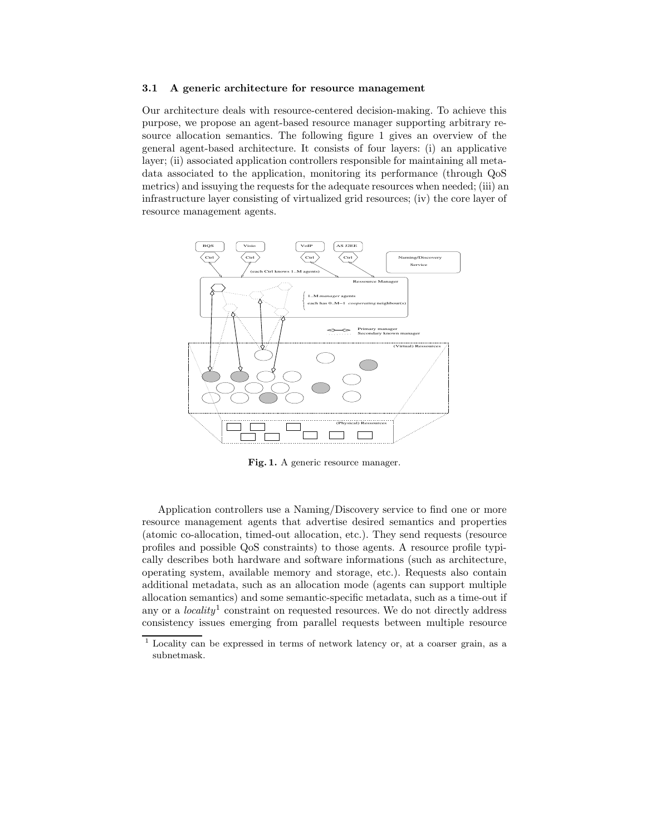#### 3.1 A generic architecture for resource management

Our architecture deals with resource-centered decision-making. To achieve this purpose, we propose an agent-based resource manager supporting arbitrary resource allocation semantics. The following figure 1 gives an overview of the general agent-based architecture. It consists of four layers: (i) an applicative layer; (ii) associated application controllers responsible for maintaining all metadata associated to the application, monitoring its performance (through QoS metrics) and issuying the requests for the adequate resources when needed; (iii) an infrastructure layer consisting of virtualized grid resources; (iv) the core layer of resource management agents.



Fig. 1. A generic resource manager.

Application controllers use a Naming/Discovery service to find one or more resource management agents that advertise desired semantics and properties (atomic co-allocation, timed-out allocation, etc.). They send requests (resource profiles and possible QoS constraints) to those agents. A resource profile typically describes both hardware and software informations (such as architecture, operating system, available memory and storage, etc.). Requests also contain additional metadata, such as an allocation mode (agents can support multiple allocation semantics) and some semantic-specific metadata, such as a time-out if any or a *locality*<sup>1</sup> constraint on requested resources. We do not directly address consistency issues emerging from parallel requests between multiple resource

<sup>1</sup> Locality can be expressed in terms of network latency or, at a coarser grain, as a subnetmask.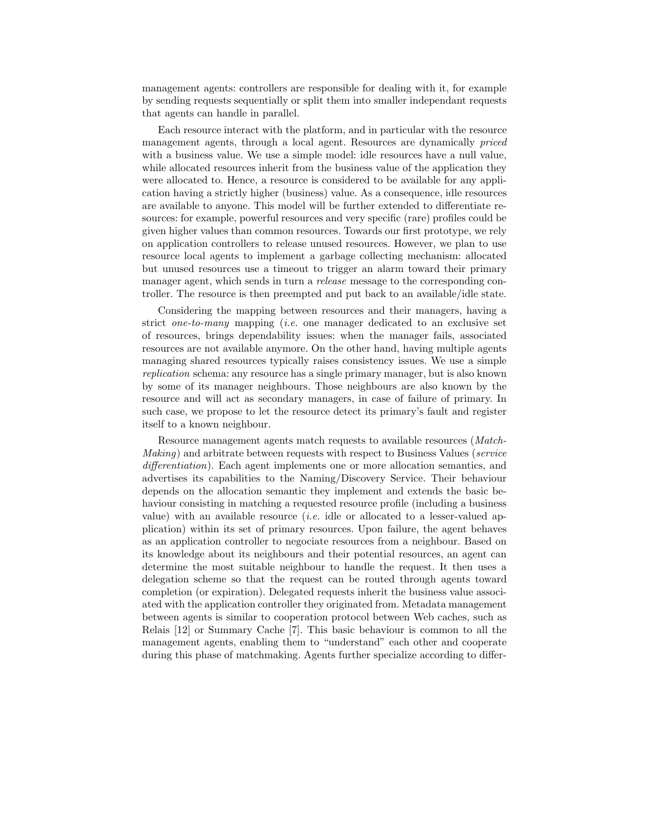management agents: controllers are responsible for dealing with it, for example by sending requests sequentially or split them into smaller independant requests that agents can handle in parallel.

Each resource interact with the platform, and in particular with the resource management agents, through a local agent. Resources are dynamically priced with a business value. We use a simple model: idle resources have a null value, while allocated resources inherit from the business value of the application they were allocated to. Hence, a resource is considered to be available for any application having a strictly higher (business) value. As a consequence, idle resources are available to anyone. This model will be further extended to differentiate resources: for example, powerful resources and very specific (rare) profiles could be given higher values than common resources. Towards our first prototype, we rely on application controllers to release unused resources. However, we plan to use resource local agents to implement a garbage collecting mechanism: allocated but unused resources use a timeout to trigger an alarm toward their primary manager agent, which sends in turn a release message to the corresponding controller. The resource is then preempted and put back to an available/idle state.

Considering the mapping between resources and their managers, having a strict one-to-many mapping (i.e. one manager dedicated to an exclusive set of resources, brings dependability issues: when the manager fails, associated resources are not available anymore. On the other hand, having multiple agents managing shared resources typically raises consistency issues. We use a simple replication schema: any resource has a single primary manager, but is also known by some of its manager neighbours. Those neighbours are also known by the resource and will act as secondary managers, in case of failure of primary. In such case, we propose to let the resource detect its primary's fault and register itself to a known neighbour.

Resource management agents match requests to available resources (Match-Making) and arbitrate between requests with respect to Business Values (service differentiation). Each agent implements one or more allocation semantics, and advertises its capabilities to the Naming/Discovery Service. Their behaviour depends on the allocation semantic they implement and extends the basic behaviour consisting in matching a requested resource profile (including a business value) with an available resource *(i.e.* idle or allocated to a lesser-valued application) within its set of primary resources. Upon failure, the agent behaves as an application controller to negociate resources from a neighbour. Based on its knowledge about its neighbours and their potential resources, an agent can determine the most suitable neighbour to handle the request. It then uses a delegation scheme so that the request can be routed through agents toward completion (or expiration). Delegated requests inherit the business value associated with the application controller they originated from. Metadata management between agents is similar to cooperation protocol between Web caches, such as Relais [12] or Summary Cache [7]. This basic behaviour is common to all the management agents, enabling them to "understand" each other and cooperate during this phase of matchmaking. Agents further specialize according to differ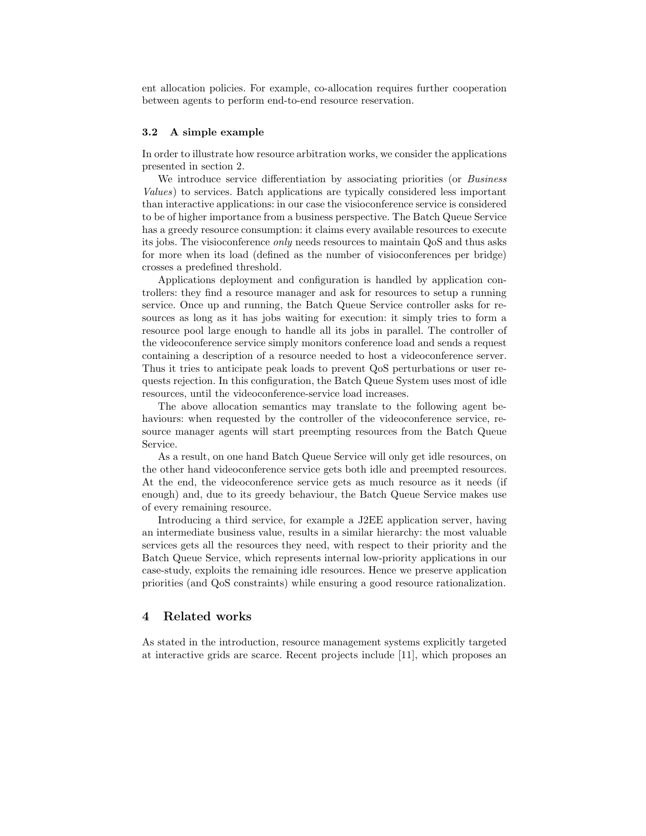ent allocation policies. For example, co-allocation requires further cooperation between agents to perform end-to-end resource reservation.

#### 3.2 A simple example

In order to illustrate how resource arbitration works, we consider the applications presented in section 2.

We introduce service differentiation by associating priorities (or Business Values) to services. Batch applications are typically considered less important than interactive applications: in our case the visioconference service is considered to be of higher importance from a business perspective. The Batch Queue Service has a greedy resource consumption: it claims every available resources to execute its jobs. The visioconference only needs resources to maintain QoS and thus asks for more when its load (defined as the number of visioconferences per bridge) crosses a predefined threshold.

Applications deployment and configuration is handled by application controllers: they find a resource manager and ask for resources to setup a running service. Once up and running, the Batch Queue Service controller asks for resources as long as it has jobs waiting for execution: it simply tries to form a resource pool large enough to handle all its jobs in parallel. The controller of the videoconference service simply monitors conference load and sends a request containing a description of a resource needed to host a videoconference server. Thus it tries to anticipate peak loads to prevent QoS perturbations or user requests rejection. In this configuration, the Batch Queue System uses most of idle resources, until the videoconference-service load increases.

The above allocation semantics may translate to the following agent behaviours: when requested by the controller of the videoconference service, resource manager agents will start preempting resources from the Batch Queue Service.

As a result, on one hand Batch Queue Service will only get idle resources, on the other hand videoconference service gets both idle and preempted resources. At the end, the videoconference service gets as much resource as it needs (if enough) and, due to its greedy behaviour, the Batch Queue Service makes use of every remaining resource.

Introducing a third service, for example a J2EE application server, having an intermediate business value, results in a similar hierarchy: the most valuable services gets all the resources they need, with respect to their priority and the Batch Queue Service, which represents internal low-priority applications in our case-study, exploits the remaining idle resources. Hence we preserve application priorities (and QoS constraints) while ensuring a good resource rationalization.

### 4 Related works

As stated in the introduction, resource management systems explicitly targeted at interactive grids are scarce. Recent projects include [11], which proposes an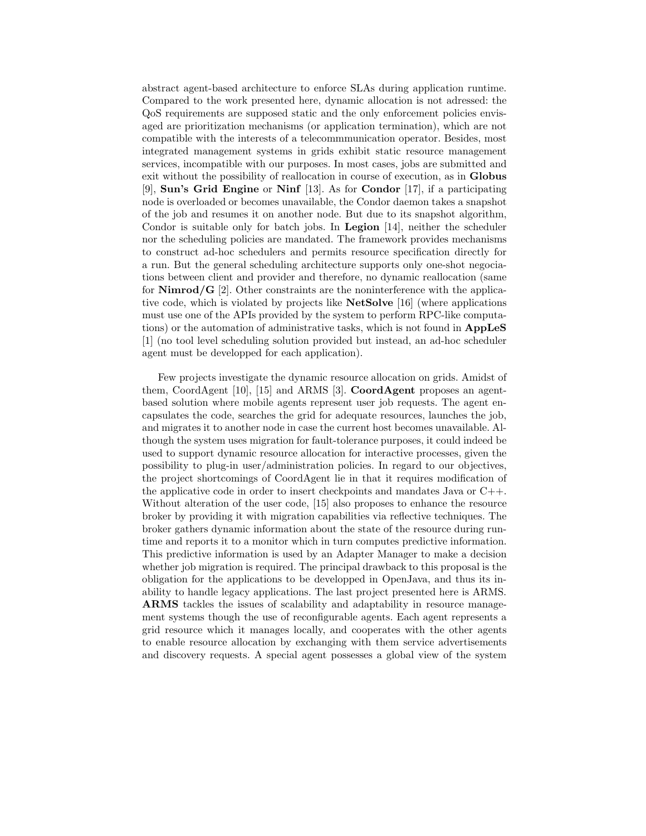abstract agent-based architecture to enforce SLAs during application runtime. Compared to the work presented here, dynamic allocation is not adressed: the QoS requirements are supposed static and the only enforcement policies envisaged are prioritization mechanisms (or application termination), which are not compatible with the interests of a telecommmunication operator. Besides, most integrated management systems in grids exhibit static resource management services, incompatible with our purposes. In most cases, jobs are submitted and exit without the possibility of reallocation in course of execution, as in Globus [9], Sun's Grid Engine or Ninf [13]. As for Condor [17], if a participating node is overloaded or becomes unavailable, the Condor daemon takes a snapshot of the job and resumes it on another node. But due to its snapshot algorithm, Condor is suitable only for batch jobs. In Legion [14], neither the scheduler nor the scheduling policies are mandated. The framework provides mechanisms to construct ad-hoc schedulers and permits resource specification directly for a run. But the general scheduling architecture supports only one-shot negociations between client and provider and therefore, no dynamic reallocation (same for  $Nimrod/G$  [2]. Other constraints are the noninterference with the applicative code, which is violated by projects like NetSolve [16] (where applications must use one of the APIs provided by the system to perform RPC-like computations) or the automation of administrative tasks, which is not found in AppLeS [1] (no tool level scheduling solution provided but instead, an ad-hoc scheduler agent must be developped for each application).

Few projects investigate the dynamic resource allocation on grids. Amidst of them, CoordAgent  $[10]$ ,  $[15]$  and ARMS  $[3]$ . **CoordAgent** proposes an agentbased solution where mobile agents represent user job requests. The agent encapsulates the code, searches the grid for adequate resources, launches the job, and migrates it to another node in case the current host becomes unavailable. Although the system uses migration for fault-tolerance purposes, it could indeed be used to support dynamic resource allocation for interactive processes, given the possibility to plug-in user/administration policies. In regard to our objectives, the project shortcomings of CoordAgent lie in that it requires modification of the applicative code in order to insert checkpoints and mandates Java or C++. Without alteration of the user code, [15] also proposes to enhance the resource broker by providing it with migration capabilities via reflective techniques. The broker gathers dynamic information about the state of the resource during runtime and reports it to a monitor which in turn computes predictive information. This predictive information is used by an Adapter Manager to make a decision whether job migration is required. The principal drawback to this proposal is the obligation for the applications to be developped in OpenJava, and thus its inability to handle legacy applications. The last project presented here is ARMS. ARMS tackles the issues of scalability and adaptability in resource management systems though the use of reconfigurable agents. Each agent represents a grid resource which it manages locally, and cooperates with the other agents to enable resource allocation by exchanging with them service advertisements and discovery requests. A special agent possesses a global view of the system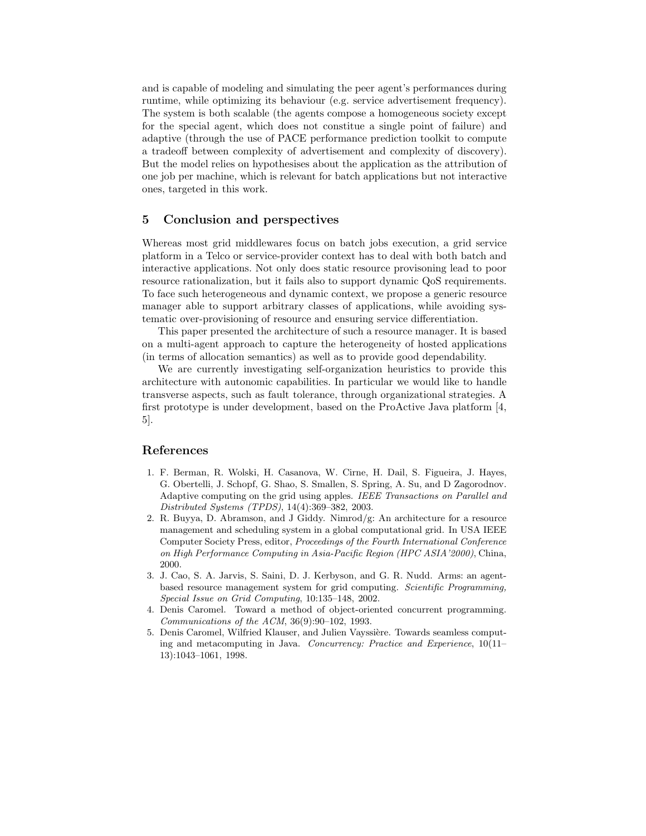and is capable of modeling and simulating the peer agent's performances during runtime, while optimizing its behaviour (e.g. service advertisement frequency). The system is both scalable (the agents compose a homogeneous society except for the special agent, which does not constitue a single point of failure) and adaptive (through the use of PACE performance prediction toolkit to compute a tradeoff between complexity of advertisement and complexity of discovery). But the model relies on hypothesises about the application as the attribution of one job per machine, which is relevant for batch applications but not interactive ones, targeted in this work.

# 5 Conclusion and perspectives

Whereas most grid middlewares focus on batch jobs execution, a grid service platform in a Telco or service-provider context has to deal with both batch and interactive applications. Not only does static resource provisoning lead to poor resource rationalization, but it fails also to support dynamic QoS requirements. To face such heterogeneous and dynamic context, we propose a generic resource manager able to support arbitrary classes of applications, while avoiding systematic over-provisioning of resource and ensuring service differentiation.

This paper presented the architecture of such a resource manager. It is based on a multi-agent approach to capture the heterogeneity of hosted applications (in terms of allocation semantics) as well as to provide good dependability.

We are currently investigating self-organization heuristics to provide this architecture with autonomic capabilities. In particular we would like to handle transverse aspects, such as fault tolerance, through organizational strategies. A first prototype is under development, based on the ProActive Java platform [4, 5].

# References

- 1. F. Berman, R. Wolski, H. Casanova, W. Cirne, H. Dail, S. Figueira, J. Hayes, G. Obertelli, J. Schopf, G. Shao, S. Smallen, S. Spring, A. Su, and D Zagorodnov. Adaptive computing on the grid using apples. IEEE Transactions on Parallel and Distributed Systems (TPDS), 14(4):369–382, 2003.
- 2. R. Buyya, D. Abramson, and J Giddy. Nimrod/g: An architecture for a resource management and scheduling system in a global computational grid. In USA IEEE Computer Society Press, editor, Proceedings of the Fourth International Conference on High Performance Computing in Asia-Pacific Region (HPC ASIA'2000), China, 2000.
- 3. J. Cao, S. A. Jarvis, S. Saini, D. J. Kerbyson, and G. R. Nudd. Arms: an agentbased resource management system for grid computing. Scientific Programming, Special Issue on Grid Computing, 10:135–148, 2002.
- 4. Denis Caromel. Toward a method of object-oriented concurrent programming. Communications of the ACM, 36(9):90–102, 1993.
- 5. Denis Caromel, Wilfried Klauser, and Julien Vayssière. Towards seamless computing and metacomputing in Java. Concurrency: Practice and Experience, 10(11– 13):1043–1061, 1998.